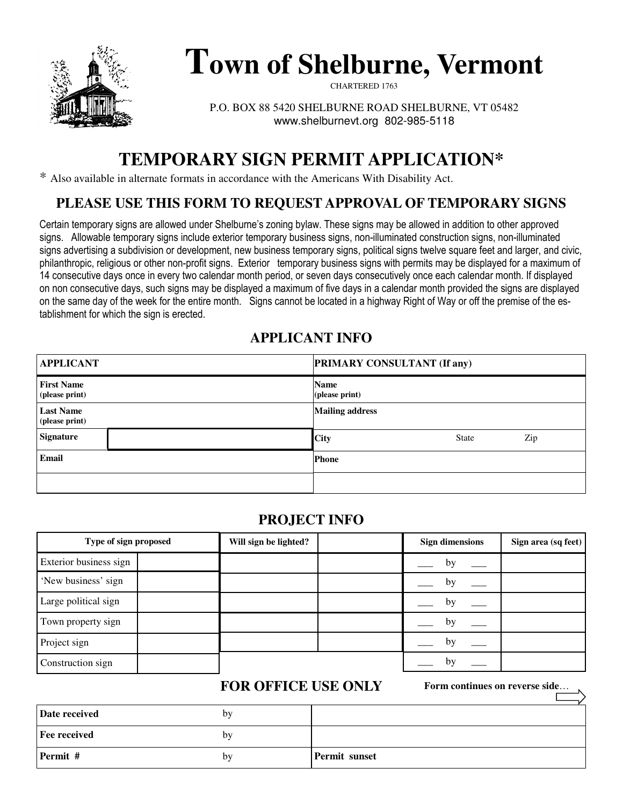

# **Town of Shelburne, Vermont**

CHARTERED 1763

P.O. BOX 88 5420 SHELBURNE ROAD SHELBURNE, VT 05482 www.shelburnevt.org 802-985-5118

## **TEMPORARY SIGN PERMIT APPLICATION\***

\* Also available in alternate formats in accordance with the Americans With Disability Act.

## **PLEASE USE THIS FORM TO REQUEST APPROVAL OF TEMPORARY SIGNS**

Certain temporary signs are allowed under Shelburne's zoning bylaw. These signs may be allowed in addition to other approved signs. Allowable temporary signs include exterior temporary business signs, non-illuminated construction signs, non-illuminated signs advertising a subdivision or development, new business temporary signs, political signs twelve square feet and larger, and civic, philanthropic, religious or other non-profit signs. Exterior temporary business signs with permits may be displayed for a maximum of 14 consecutive days once in every two calendar month period, or seven days consecutively once each calendar month. If displayed on non consecutive days, such signs may be displayed a maximum of five days in a calendar month provided the signs are displayed on the same day of the week for the entire month. Signs cannot be located in a highway Right of Way or off the premise of the establishment for which the sign is erected.

#### **APPLICANT INFO**

| <b>APPLICANT</b>                    | <b>PRIMARY CONSULTANT (If any)</b> |
|-------------------------------------|------------------------------------|
| <b>First Name</b><br>(please print) | <b>Name</b><br>(please print)      |
| <b>Last Name</b><br>(please print)  | <b>Mailing address</b>             |
| <b>Signature</b>                    | <b>City</b><br>Zip<br><b>State</b> |
| Email                               | <b>Phone</b>                       |
|                                     |                                    |

#### **PROJECT INFO**

| Type of sign proposed  | Will sign be lighted? | <b>Sign dimensions</b> | Sign area (sq feet) |
|------------------------|-----------------------|------------------------|---------------------|
| Exterior business sign |                       | by                     |                     |
| 'New business' sign    |                       | by                     |                     |
| Large political sign   |                       | by                     |                     |
| Town property sign     |                       | by                     |                     |
| Project sign           |                       | by                     |                     |
| Construction sign      |                       | by                     |                     |

## **FOR OFFICE USE ONLY**

**Form continues on reverse side**…

| Date received       | bv |                      |
|---------------------|----|----------------------|
| <b>Fee received</b> | bv |                      |
| Permit #            | by | <b>Permit sunset</b> |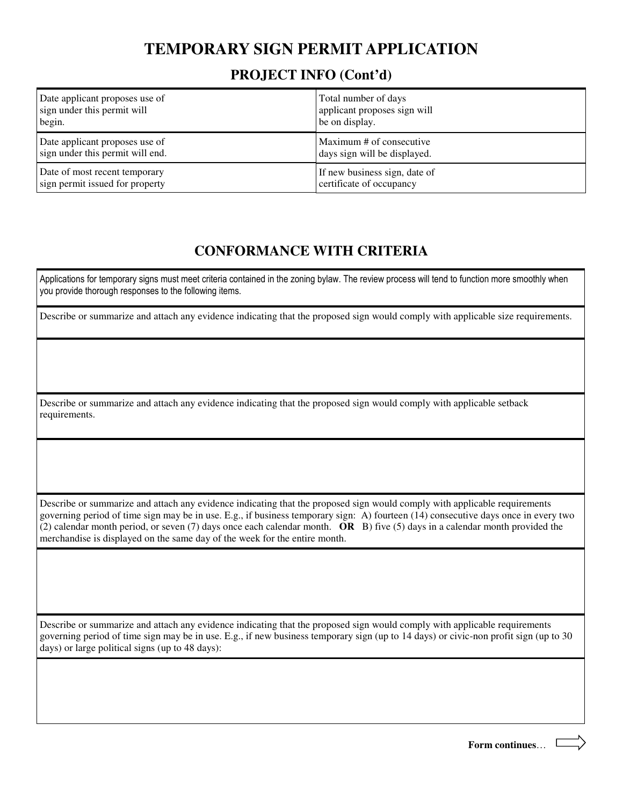## **TEMPORARY SIGN PERMIT APPLICATION**

#### **PROJECT INFO (Cont'd)**

| Date applicant proposes use of   | Total number of days          |
|----------------------------------|-------------------------------|
| sign under this permit will      | applicant proposes sign will  |
| begin.                           | be on display.                |
| Date applicant proposes use of   | Maximum # of consecutive      |
| sign under this permit will end. | days sign will be displayed.  |
| Date of most recent temporary    | If new business sign, date of |
| sign permit issued for property  | certificate of occupancy      |

## **CONFORMANCE WITH CRITERIA**

Applications for temporary signs must meet criteria contained in the zoning bylaw. The review process will tend to function more smoothly when you provide thorough responses to the following items.

Describe or summarize and attach any evidence indicating that the proposed sign would comply with applicable size requirements.

Describe or summarize and attach any evidence indicating that the proposed sign would comply with applicable setback requirements.

Describe or summarize and attach any evidence indicating that the proposed sign would comply with applicable requirements governing period of time sign may be in use. E.g., if business temporary sign: A) fourteen (14) consecutive days once in every two (2) calendar month period, or seven (7) days once each calendar month. **OR** B) five (5) days in a calendar month provided the merchandise is displayed on the same day of the week for the entire month.

Describe or summarize and attach any evidence indicating that the proposed sign would comply with applicable requirements governing period of time sign may be in use. E.g., if new business temporary sign (up to 14 days) or civic-non profit sign (up to 30 days) or large political signs (up to 48 days):